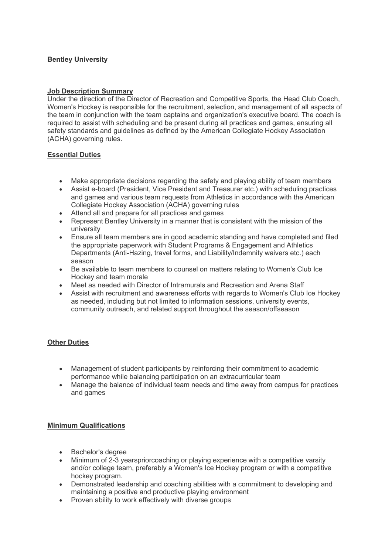# **Bentley University**

## **Job Description Summary**

Under the direction of the Director of Recreation and Competitive Sports, the Head Club Coach, Women's Hockey is responsible for the recruitment, selection, and management of all aspects of the team in conjunction with the team captains and organization's executive board. The coach is required to assist with scheduling and be present during all practices and games, ensuring all safety standards and guidelines as defined by the American Collegiate Hockey Association (ACHA) governing rules.

### **Essential Duties**

- Make appropriate decisions regarding the safety and playing ability of team members
- Assist e-board (President, Vice President and Treasurer etc.) with scheduling practices and games and various team requests from Athletics in accordance with the American Collegiate Hockey Association (ACHA) governing rules
- Attend all and prepare for all practices and games
- Represent Bentley University in a manner that is consistent with the mission of the university
- Ensure all team members are in good academic standing and have completed and filed the appropriate paperwork with Student Programs & Engagement and Athletics Departments (Anti-Hazing, travel forms, and Liability/Indemnity waivers etc.) each season
- Be available to team members to counsel on matters relating to Women's Club Ice Hockey and team morale
- Meet as needed with Director of Intramurals and Recreation and Arena Staff
- Assist with recruitment and awareness efforts with regards to Women's Club Ice Hockey as needed, including but not limited to information sessions, university events, community outreach, and related support throughout the season/offseason

# **Other Duties**

- Management of student participants by reinforcing their commitment to academic performance while balancing participation on an extracurricular team
- Manage the balance of individual team needs and time away from campus for practices and games

#### **Minimum Qualifications**

- Bachelor's degree
- Minimum of 2-3 yearspriorcoaching or playing experience with a competitive varsity and/or college team, preferably a Women's Ice Hockey program or with a competitive hockey program.
- Demonstrated leadership and coaching abilities with a commitment to developing and maintaining a positive and productive playing environment
- Proven ability to work effectively with diverse groups